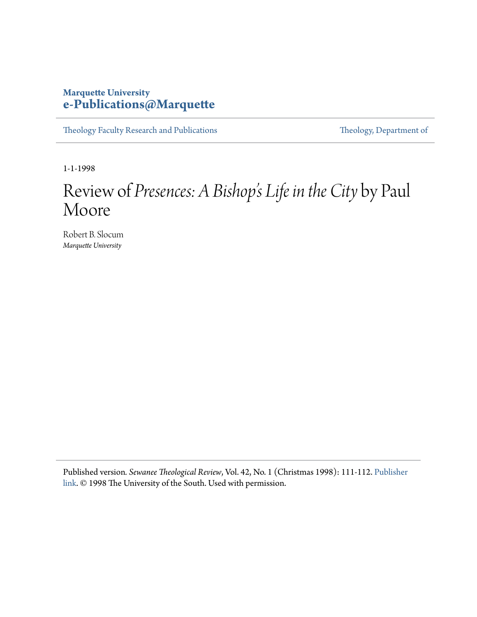## **Marquette University [e-Publications@Marquette](https://epublications.marquette.edu)**

[Theology Faculty Research and Publications](https://epublications.marquette.edu/theo_fac) [Theology, Department of](https://epublications.marquette.edu/Theology)

1-1-1998

## Review of *Presences: A Bishop 's Life in the City* by Paul Moore

Robert B. Slocum *Marquette University*

Published version*. Sewanee Theological Review*, Vol. 42, No. 1 (Christmas 1998): 111-112. [Publisher](http://www.sewanee.edu/theology/seminary/media/publications/sewanee-theological-review/) [link](http://www.sewanee.edu/theology/seminary/media/publications/sewanee-theological-review/). © 1998 The University of the South. Used with permission.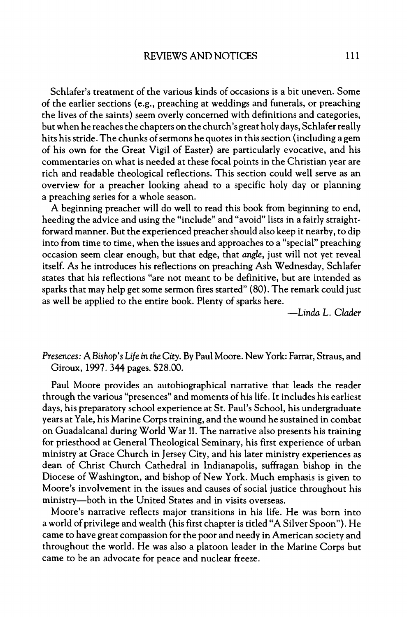Schlafer's treatment of the various kinds of occasions is a bit uneven. Some of the earlier sections (e g , preaching at weddings and funerals, or preaching the lives of the saints) seem overly concerned with definitions and categories, but when he reaches the chapters on the church's great holy days. Schlafer really hits hisstride. The chunks ofsermons he quotes in thissection (including a gem of his own for the Great Vigil of Easter) are particularly evocative, and his commentaries on what is needed at these focal points in the Christian year are rich and readable theological reflections. This section could well serve as an overview for a preacher looking ahead to a specific holy day or planning a preaching series for a whole season.

A beginning preacher will do well to read this book from beginning to end, heeding the advice and using the "include" and "avoid" lists in a fairly straightforward manner. But the experienced preachershould also keep it nearby, to dip into from time to time, when the issues and approaches to a "special" preaching occasion seem clear enough, but that edge, that *angle,* just will not yet reveal itself. As he introduces his reflections on preaching Ash Wednesday, Schlafer states that his reflections "are not meant to be definitive, but are intended as sparks that may help get some sermon fires started" (80). The remark could just as well be applied to the entire book. Plenty of sparks here.

*—lié* L. *Clader*

*Presences:* A Bishop's *life in the City*. By Paul Moore. New York: Farrar, Straus, and Giroux, 1997. 344 pages. \$28.00.

Paul Moore provides an autobiographical narrative that leads the reader through the various "presences" and moments of his life. It includes his earliest days, his preparatory school experience at St. Paul's School, his undergraduate years at Yale, his Marine Corps training, and the wound he sustained in combat on Guadalcanal during World War II. The narrative also presents his training for priesthood at General Theological Seminary, his first experience of urban ministry at Grace Church in Jersey City, and his later ministry experiences as dean of Christ Church Cathedral in Indianapolis, suffragan bishop in the Diocese of Washington, and bishop of New York. Much emphasis is given to Moore's involvement in the issues and causes of social justice throughout his ministry—both in the United States and in visits overseas.

Moore's narrative reflects major transitions in his life. He was born into a world of privilege and wealth (his first chapter is titled "A Silver Spoon"). He came to have great compassion for the poor and needy in American society and throughout the world. He was also a platoon leader in the Marine Corps but came to be an advocate for peace and nuclear freeze.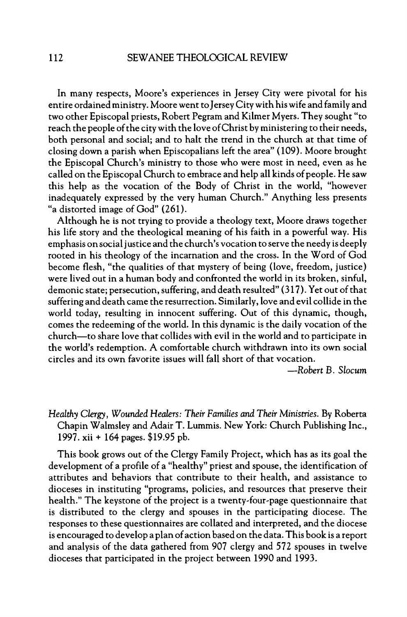In many respects, Moore's experiences in Jersey City were pivotal for his entire ordained ministry. Moore went to Jersey City with his wife and family and two other Episcopal priests, Robert Pegram and Kilmer Myers. They sought "to reach the people of the city with the love of Christ by ministering to their needs, both personal and social; and to halt the trend in the church at that time of closing down a parish when Episcopalians left the area" (109). Moore brought the Episcopal Church's ministry to those who were most in need, even as he called on the Episcopal Church to embrace and help all kinds of people. He saw this help as the vocation of the Body of Christ in the world, "however inadequately expressed by the very human Church." Anything less presents "a distorted image of God" (261).

Although he is not trying to provide a theology text, Moore draws together his life story and the theological meaning of his faith in a powerful way. His emphasis on social justice and the church's vocation to serve the needy is deeply rooted in his theology of the incarnation and the cross. In the Word of God become flesh, "the qualities of that mystery of being (love, freedom, justice) were lived out in a human body and confronted the world in its broken, sinful, demonic state; persecution, suffering, and death resulted" (317). Yet out of that suffering and death came the resurrection. Similarly, love and evil collide in the world today, resulting in innocent suffering. Out of this dynamic, though, comes the redeeming of the world. In this dynamic is the daily vocation of the church—to share love that collides with evil in the world and to participate in the world's redemption. A comfortable church withdrawn into its own social circles and its own favorite issues will fall short of that vocation.

*—Robert B. Slocum*

*Healthy Clergy, Wouàd Healers: Their Families and Their Ministries* By Roberta Chapin Walmsley and Adair T. Lummis. New York: Church Publishing Inc., 1997. xii + 164 pages. \$19.95 pb.

This book grows out of the Clergy Family Project, which has as its goal the development of a profile of a "healthy" priest and spouse, the identification of attributes and behaviors that contribute to their health, and assistance to dioceses in instituting "programs, policies, and resources that preserve their health." The keystone of the project is a twenty-four-page questionnaire that is distributed to the clergy and spouses in the participating diocese. The responses to these questionnaires are collated and interpreted, and the diocese is encouraged to develop a plan ofaction based on the data. This book is a report and analysis of the data gathered from 907 clergy and 572 spouses in twelve dioceses that participated in the project between 1990 and 1993.